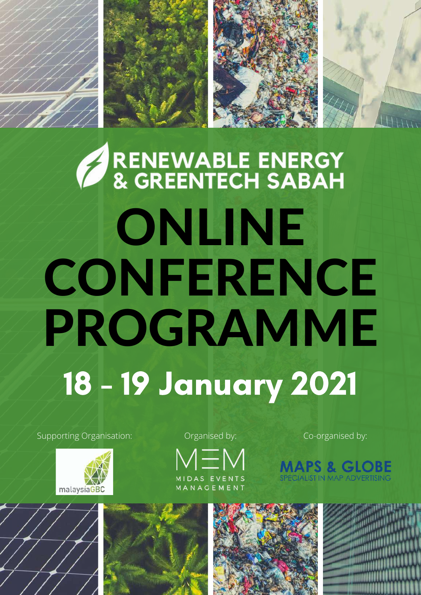# RENEWABLE ENERGY<br>& GREENTECH SABAH ONLINE CONFERENCE PROGRAMME 18 - 19 January 2021

Supporting Organisation: Co-organisation: Co-organised by:



Organised by:





**IPS & GLOBE**<br>ALIST IN MAP ADVERTISING

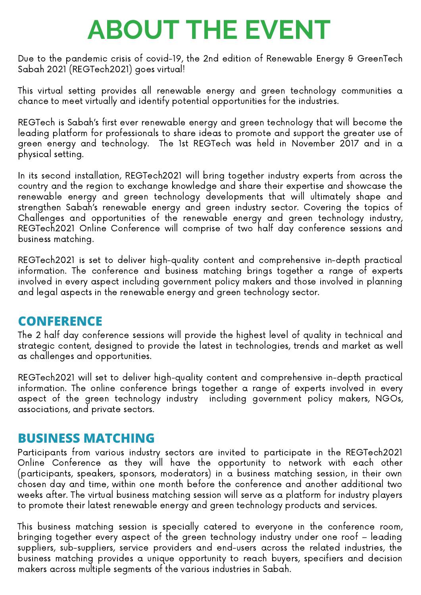# **ABOUT THE EVENT**

Due to the pandemic crisis of covid-19, the 2nd edition of Renewable Energy & GreenTech Sabah 2021 (REGTech2021) goes virtual!

This virtual setting provides all renewable energy and green technology communities a chance to meet virtually and identify potential opportunities for the industries.

REGTech is Sabah's first ever renewable energy and green technology that will become the leading platform for professionals to share ideas to promote and support the greater use of green energy and technology. The 1st REGTech was held in November 2017 and in a physical setting.

In its second installation, REGTech2021 will bring together industry experts from across the country and the region to exchange knowledge and share their expertise and showcase the renewable energy and green technology developments that will ultimately shape and strengthen Sabah's renewable energy and green industry sector. Covering the topics of Challenges and opportunities of the renewable energy and green technology industry, REGTech2021 Online Conference will comprise of two half day conference sessions and business matching.

REGTech2021 is set to deliver high-quality content and comprehensive in-depth practical information. The conference and business matching brings together a range of experts involved in every aspect including government policy makers and those involved in planning and legal aspects in the renewable energy and green technology sector.

#### **CONFERENCE**

The 2 half day conference sessions will provide the highest level of quality in technical and strategic content, designed to provide the latest in technologies, trends and market as well as challenges and opportunities.

REGTech2021 will set to deliver high-quality content and comprehensive in-depth practical information. The online conference brings together a range of experts involved in every aspect of the green technology industry including government policy makers, NGOs, associations, and private sectors.

#### **BUSINESS MATCHING**

Participants from various industry sectors are invited to participate in the REGTech2021 Online Conference as they will have the opportunity to network with each other (participants, speakers, sponsors, moderators) in a business matching session, in their own chosen day and time, within one month before the conference and another additional two weeks after. The virtual business matching session will serve as a platform for industry players to promote their latest renewable energy and green technology products and services.

This business matching session is specially catered to everyone in the conference room, bringing together every aspect of the green technology industry under one roof – leading suppliers, sub-suppliers, service providers and end-users across the related industries, the business matching provides a unique opportunity to reach buyers, specifiers and decision makers across multiple segments of the various industries in Sabah.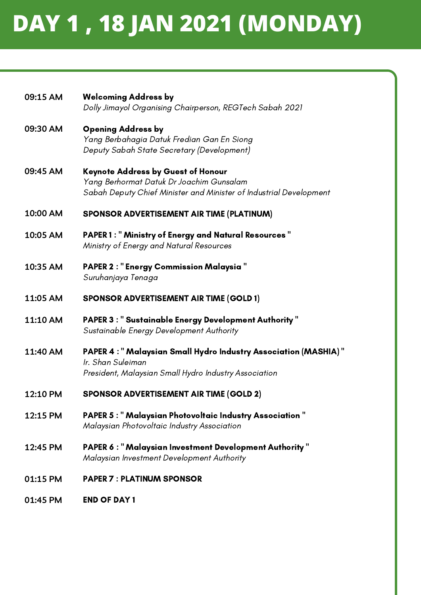### **DAY 1 , 18 JAN 2021 (MONDAY)**

| 09:15 AM | <b>Welcoming Address by</b><br>Dolly Jimayol Organising Chairperson, REGTech Sabah 2021                                                                     |
|----------|-------------------------------------------------------------------------------------------------------------------------------------------------------------|
| 09:30 AM | <b>Opening Address by</b><br>Yang Berbahagia Datuk Fredian Gan En Siong<br>Deputy Sabah State Secretary (Development)                                       |
| 09:45 AM | <b>Keynote Address by Guest of Honour</b><br>Yang Berhormat Datuk Dr Joachim Gunsalam<br>Sabah Deputy Chief Minister and Minister of Industrial Development |
| 10:00 AM | SPONSOR ADVERTISEMENT AIR TIME (PLATINUM)                                                                                                                   |
| 10:05 AM | <b>PAPER 1: " Ministry of Energy and Natural Resources "</b><br>Ministry of Energy and Natural Resources                                                    |
| 10:35 AM | <b>PAPER 2: "Energy Commission Malaysia"</b><br>Suruhanjaya Tenaga                                                                                          |
| 11:05 AM | <b>SPONSOR ADVERTISEMENT AIR TIME (GOLD 1)</b>                                                                                                              |
| 11:10 AM | <b>PAPER 3: "Sustainable Energy Development Authority"</b><br>Sustainable Energy Development Authority                                                      |
| 11:40 AM | PAPER 4 : " Malaysian Small Hydro Industry Association (MASHIA) "<br>Ir. Shan Suleiman<br>President, Malaysian Small Hydro Industry Association             |
| 12:10 PM | <b>SPONSOR ADVERTISEMENT AIR TIME (GOLD 2)</b>                                                                                                              |
| 12:15 PM | <b>PAPER 5: "Malaysian Photovoltaic Industry Association"</b><br>Malaysian Photovoltaic Industry Association                                                |
| 12:45 PM | <b>PAPER 6: "Malaysian Investment Development Authority"</b><br>Malaysian Investment Development Authority                                                  |
| 01:15 PM | <b>PAPER 7: PLATINUM SPONSOR</b>                                                                                                                            |
| 01:45 PM | <b>END OF DAY 1</b>                                                                                                                                         |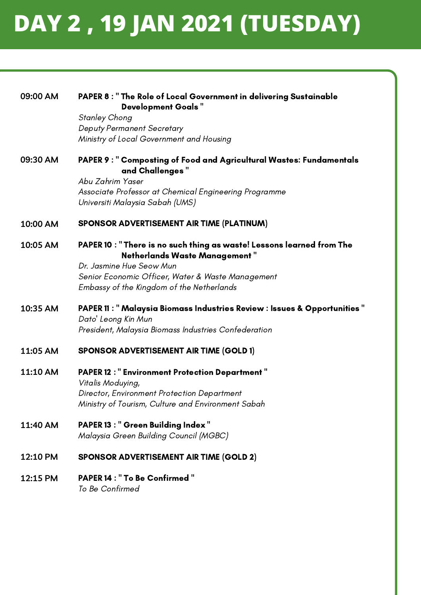### **DAY 2 , 19 JAN 2021 (TUESDAY)**

| 09:00 AM | PAPER 8 : " The Role of Local Government in delivering Sustainable<br><b>Development Goals"</b>                |
|----------|----------------------------------------------------------------------------------------------------------------|
|          | <b>Stanley Chong</b>                                                                                           |
|          | <b>Deputy Permanent Secretary</b><br>Ministry of Local Government and Housing                                  |
|          |                                                                                                                |
| 09:30 AM | PAPER 9: " Composting of Food and Agricultural Wastes: Fundamentals<br>and Challenges"                         |
|          | Abu Zahrim Yaser                                                                                               |
|          | Associate Professor at Chemical Engineering Programme                                                          |
|          | Universiti Malaysia Sabah (UMS)                                                                                |
| 10:00 AM | SPONSOR ADVERTISEMENT AIR TIME (PLATINUM)                                                                      |
| 10:05 AM | PAPER 10 : " There is no such thing as waste! Lessons learned from The<br><b>Netherlands Waste Management"</b> |
|          | Dr. Jasmine Hue Seow Mun                                                                                       |
|          | Senior Economic Officer, Water & Waste Management                                                              |
|          | Embassy of the Kingdom of the Netherlands                                                                      |
| 10:35 AM | PAPER 11: " Malaysia Biomass Industries Review : Issues & Opportunities "<br>Dato' Leong Kin Mun               |
|          | President, Malaysia Biomass Industries Confederation                                                           |
| 11:05 AM | <b>SPONSOR ADVERTISEMENT AIR TIME (GOLD 1)</b>                                                                 |
| 11:10 AM | <b>PAPER 12: "Environment Protection Department"</b><br>Vitalis Moduying,                                      |
|          | <b>Director, Environment Protection Department</b>                                                             |
|          | Ministry of Tourism, Culture and Environment Sabah                                                             |
| 11:40 AM | <b>PAPER 13: " Green Building Index "</b>                                                                      |
|          | Malaysia Green Building Council (MGBC)                                                                         |
| 12:10 PM | <b>SPONSOR ADVERTISEMENT AIR TIME (GOLD 2)</b>                                                                 |
| 12:15 PM | <b>PAPER 14 : " To Be Confirmed "</b><br>To Be Confirmed                                                       |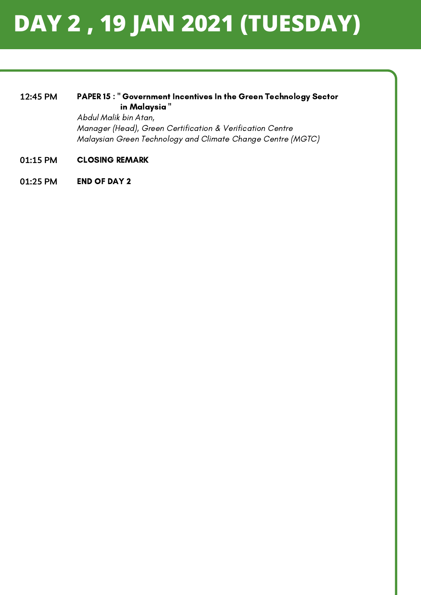### **DAY 2 , 19 JAN 2021 (TUESDAY)**

#### PAPER 15 : " Government Incentives In the Green Technology Sector in Malaysia " **12:45 PM**

Abdul Malik bin Atan, Manager (Head), Green Certification & Verification Centre Malaysian Green Technology and Climate Change Centre (MGTC)

- CLOSING REMARK **01:15 PM**
- END OF DAY 2 **01:25 PM**